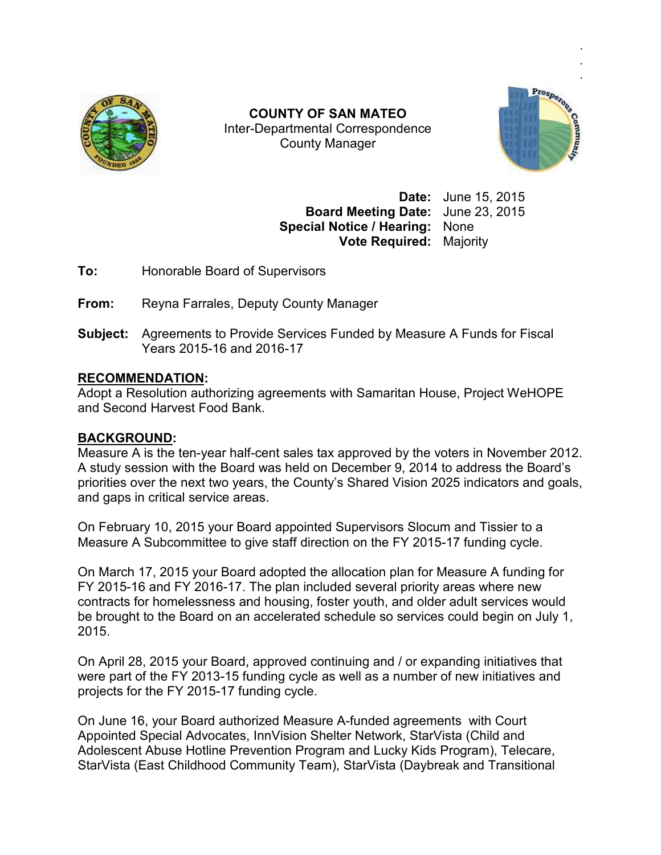

Inter Inter-Departmental Correspondence **COUNTY OF SAN MATEO**  County Manager



**Date:** June 15, 2015 **Board Meeting Date:** June 23, 2015 **Special Notice / Hearing:** None **Vote Required:** Majority ie 15, 2015<br>ie 23, 2015<br>ne<br>jority<br>Funds for Fiscal

**To:** Honorable Board of Supervisors

**From:** Reyna Farrales, Deputy County Manager

**Subject:** Agreements to Provide Services Funded by Measure A Funds for Fiscal Years 2015-16 and 2016 Honorable Board of Supervis<br>Reyna Farrales, Deputy Cou<br>Agreements to Provide Servi<br>Years 2015-16 and 2016-17

# **RECOMMENDATION:**

Adopt a Resolution authorizing agreements with Samaritan House, Project WeHOPE and Second Harvest Food Bank Bank.

## **BACKGROUND:**

Measure A is the ten-year half-cent sales tax approved by the voters in November 2012. A study session with the Board was held on December 9, 2014 to address the Board's A study session with the Board was held on December 9, 2014 to address the Board's<br>priorities over the next two years, the County's Shared Vision 2025 indicators and goals, and gaps in critical service areas.

On February 10, 2015 your Board appointed Supervisors Slocum and Tissier to a On February 10, 2015 your Board appointed Supervisors Slocum and Tissier to a<br>Measure A Subcommittee to give staff direction on the FY 2015-17 funding cycle.

On March 17, 2015 your Board adopted the allocation plan for Measure A funding for FY 2015-16 and FY 2016-17. The plan included several priority areas where new contracts for homelessness and housing, foster youth, and older adult services would contracts for homelessness and housing, foster youth, and older adult services would<br>be brought to the Board on an accelerated schedule so services could begin on July 1, 2015. COUNTY OF SAN MATED<br>
Inter-Departmental Correspondence<br>
County Manager<br>
County Manager<br>
Date: June 15, 2015<br>
Special Notice / Hearing: None<br>
York Required: Majority<br>
Honorable Board of Supervisors<br>
York Required: Majority<br> cent sales tax approved by the voters in November 20<br>was held on December 9, 2014 to address the Board's<br>rs, the County's Shared Vision 2025 indicators and goa<br>as.<br>ard appointed Supervisors Slocum and Tissier to a<br>ve staff

On April 28, 2015 your Board, approved continuing and / or expanding initiatives that were part of the FY 2013-15 funding cycle as well as a number of new initiatives and<br>projects for the FY 2015-17 funding cycle.<br>On June 16, your Board authorized Measure A-funded agreements with Court projects for the FY 2015-17 funding cycle.

On June 16, your Board authorized Measure A-funded agreements with Court Appointed Special Advocates, InnVision Shelter Network, StarVista (Child and Appointed Special Advocates, InnVision Shelter Network, StarVista (Child and<br>Adolescent Abuse Hotline Prevention Program and Lucky Kids Program), Telecare, StarVista (East Childhood Community Team), StarVista (Daybreak and Transitional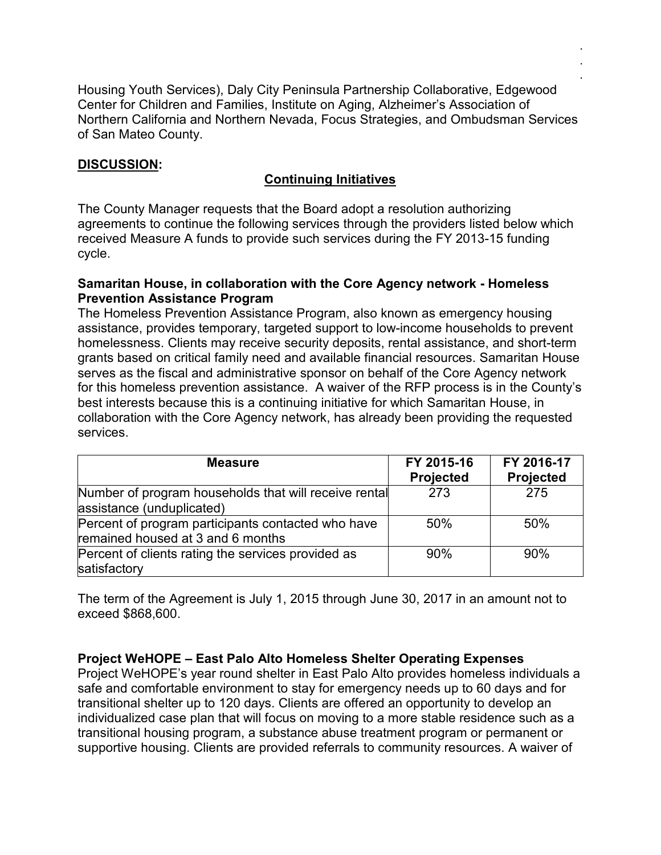Housing Youth Services), Daly City Peninsula Partnership Collaborative, Edgewood Center for Children and Families, Institute on Aging, Alzheimer's Association of Northern California and Northern Nevada, Focus Strategies, and Ombudsman Services of San Mateo County.

. . .

## **DISCUSSION:**

# **Continuing Initiatives**

The County Manager requests that the Board adopt a resolution authorizing agreements to continue the following services through the providers listed below which received Measure A funds to provide such services during the FY 2013-15 funding cycle.

### **Samaritan House, in collaboration with the Core Agency network - Homeless Prevention Assistance Program**

The Homeless Prevention Assistance Program, also known as emergency housing assistance, provides temporary, targeted support to low-income households to prevent homelessness. Clients may receive security deposits, rental assistance, and short-term grants based on critical family need and available financial resources. Samaritan House serves as the fiscal and administrative sponsor on behalf of the Core Agency network for this homeless prevention assistance. A waiver of the RFP process is in the County's best interests because this is a continuing initiative for which Samaritan House, in collaboration with the Core Agency network, has already been providing the requested services.

| <b>Measure</b>                                        | FY 2015-16       | FY 2016-17       |
|-------------------------------------------------------|------------------|------------------|
|                                                       | <b>Projected</b> | <b>Projected</b> |
| Number of program households that will receive rental | 273              | 275              |
| assistance (unduplicated)                             |                  |                  |
| Percent of program participants contacted who have    | 50%              | 50%              |
| remained housed at 3 and 6 months                     |                  |                  |
| Percent of clients rating the services provided as    | 90%              | 90%              |
| satisfactory                                          |                  |                  |

The term of the Agreement is July 1, 2015 through June 30, 2017 in an amount not to exceed \$868,600.

## **Project WeHOPE – East Palo Alto Homeless Shelter Operating Expenses**

Project WeHOPE's year round shelter in East Palo Alto provides homeless individuals a safe and comfortable environment to stay for emergency needs up to 60 days and for transitional shelter up to 120 days. Clients are offered an opportunity to develop an individualized case plan that will focus on moving to a more stable residence such as a transitional housing program, a substance abuse treatment program or permanent or supportive housing. Clients are provided referrals to community resources. A waiver of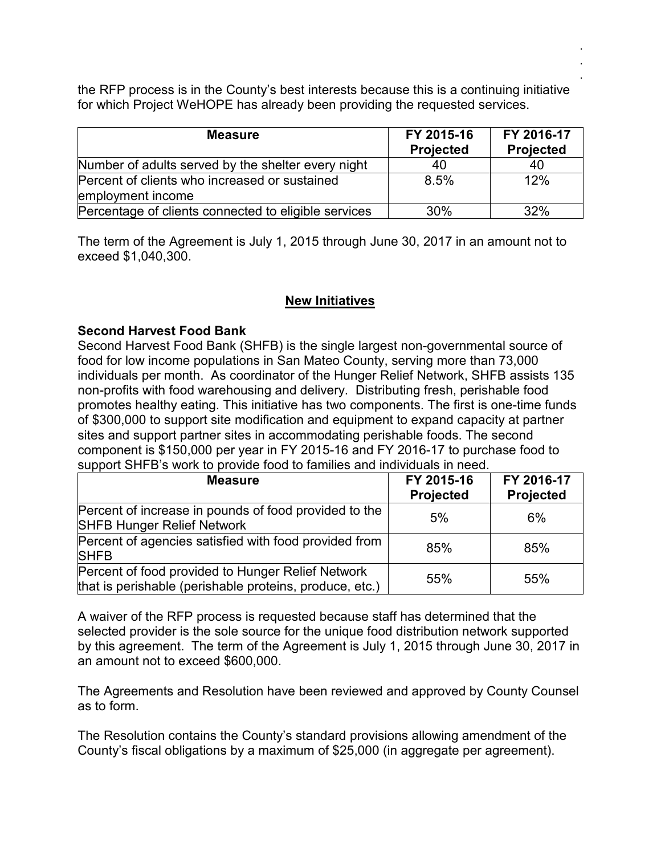the RFP process is in the County's best interests because this is a continuing initiative for which Project WeHOPE has already been providing the requested services.

. . .

| <b>Measure</b>                                                     | FY 2015-16<br><b>Projected</b> | FY 2016-17<br><b>Projected</b> |
|--------------------------------------------------------------------|--------------------------------|--------------------------------|
| Number of adults served by the shelter every night                 | 40                             | 40                             |
| Percent of clients who increased or sustained<br>employment income | 8.5%                           | 12%                            |
| Percentage of clients connected to eligible services               | 30%                            | 32%                            |

The term of the Agreement is July 1, 2015 through June 30, 2017 in an amount not to exceed \$1,040,300.

# **New Initiatives**

## **Second Harvest Food Bank**

Second Harvest Food Bank (SHFB) is the single largest non-governmental source of food for low income populations in San Mateo County, serving more than 73,000 individuals per month. As coordinator of the Hunger Relief Network, SHFB assists 135 non-profits with food warehousing and delivery. Distributing fresh, perishable food promotes healthy eating. This initiative has two components. The first is one-time funds of \$300,000 to support site modification and equipment to expand capacity at partner sites and support partner sites in accommodating perishable foods. The second component is \$150,000 per year in FY 2015-16 and FY 2016-17 to purchase food to support SHFB's work to provide food to families and individuals in need.

| <b>Measure</b>                                                                                               | FY 2015-16<br><b>Projected</b> | FY 2016-17<br><b>Projected</b> |
|--------------------------------------------------------------------------------------------------------------|--------------------------------|--------------------------------|
| Percent of increase in pounds of food provided to the<br><b>SHFB Hunger Relief Network</b>                   | 5%                             | 6%                             |
| Percent of agencies satisfied with food provided from<br><b>SHFB</b>                                         | 85%                            | 85%                            |
| Percent of food provided to Hunger Relief Network<br>that is perishable (perishable proteins, produce, etc.) | 55%                            | 55%                            |

A waiver of the RFP process is requested because staff has determined that the selected provider is the sole source for the unique food distribution network supported by this agreement. The term of the Agreement is July 1, 2015 through June 30, 2017 in an amount not to exceed \$600,000.

The Agreements and Resolution have been reviewed and approved by County Counsel as to form.

The Resolution contains the County's standard provisions allowing amendment of the County's fiscal obligations by a maximum of \$25,000 (in aggregate per agreement).